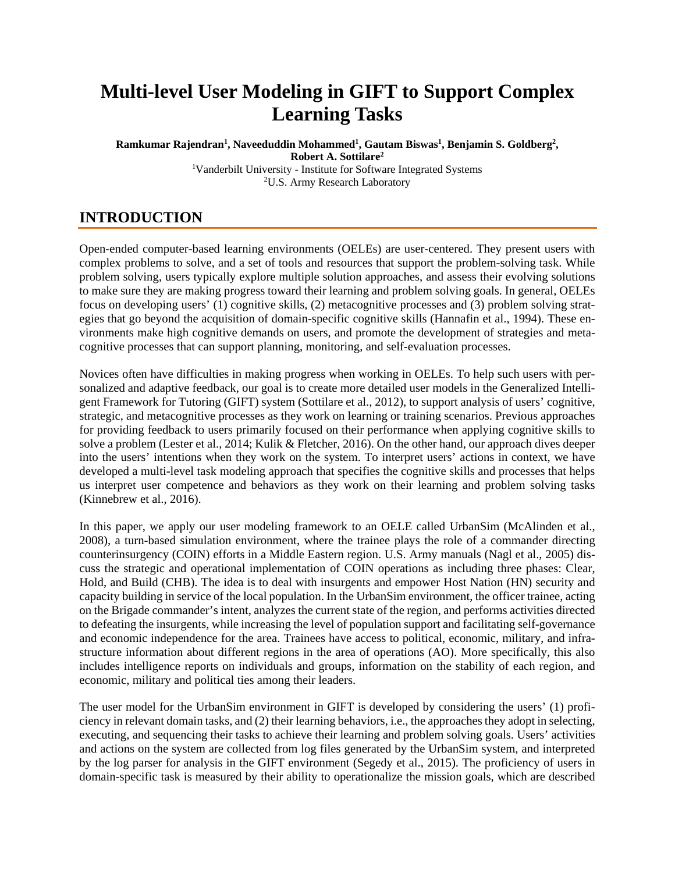# **Multi-level User Modeling in GIFT to Support Complex Learning Tasks**

**Ramkumar Rajendran1 , Naveeduddin Mohammed1 , Gautam Biswas1 , Benjamin S. Goldberg2 , Robert A. Sottilare2** <sup>1</sup>Vanderbilt University - Institute for Software Integrated Systems <sup>2</sup>U.S. Army Research Laboratory

# **INTRODUCTION**

Open-ended computer-based learning environments (OELEs) are user-centered. They present users with complex problems to solve, and a set of tools and resources that support the problem-solving task. While problem solving, users typically explore multiple solution approaches, and assess their evolving solutions to make sure they are making progress toward their learning and problem solving goals. In general, OELEs focus on developing users' (1) cognitive skills, (2) metacognitive processes and (3) problem solving strategies that go beyond the acquisition of domain-specific cognitive skills (Hannafin et al., 1994). These environments make high cognitive demands on users, and promote the development of strategies and metacognitive processes that can support planning, monitoring, and self-evaluation processes.

Novices often have difficulties in making progress when working in OELEs. To help such users with personalized and adaptive feedback, our goal is to create more detailed user models in the Generalized Intelligent Framework for Tutoring (GIFT) system (Sottilare et al., 2012), to support analysis of users' cognitive, strategic, and metacognitive processes as they work on learning or training scenarios. Previous approaches for providing feedback to users primarily focused on their performance when applying cognitive skills to solve a problem (Lester et al., 2014; Kulik & Fletcher, 2016). On the other hand, our approach dives deeper into the users' intentions when they work on the system. To interpret users' actions in context, we have developed a multi-level task modeling approach that specifies the cognitive skills and processes that helps us interpret user competence and behaviors as they work on their learning and problem solving tasks (Kinnebrew et al., 2016).

In this paper, we apply our user modeling framework to an OELE called UrbanSim (McAlinden et al., 2008), a turn-based simulation environment, where the trainee plays the role of a commander directing counterinsurgency (COIN) efforts in a Middle Eastern region. U.S. Army manuals (Nagl et al., 2005) discuss the strategic and operational implementation of COIN operations as including three phases: Clear, Hold, and Build (CHB). The idea is to deal with insurgents and empower Host Nation (HN) security and capacity building in service of the local population. In the UrbanSim environment, the officer trainee, acting on the Brigade commander's intent, analyzes the current state of the region, and performs activities directed to defeating the insurgents, while increasing the level of population support and facilitating self-governance and economic independence for the area. Trainees have access to political, economic, military, and infrastructure information about different regions in the area of operations (AO). More specifically, this also includes intelligence reports on individuals and groups, information on the stability of each region, and economic, military and political ties among their leaders.

The user model for the UrbanSim environment in GIFT is developed by considering the users' (1) proficiency in relevant domain tasks, and (2) their learning behaviors, i.e., the approaches they adopt in selecting, executing, and sequencing their tasks to achieve their learning and problem solving goals. Users' activities and actions on the system are collected from log files generated by the UrbanSim system, and interpreted by the log parser for analysis in the GIFT environment (Segedy et al., 2015). The proficiency of users in domain-specific task is measured by their ability to operationalize the mission goals, which are described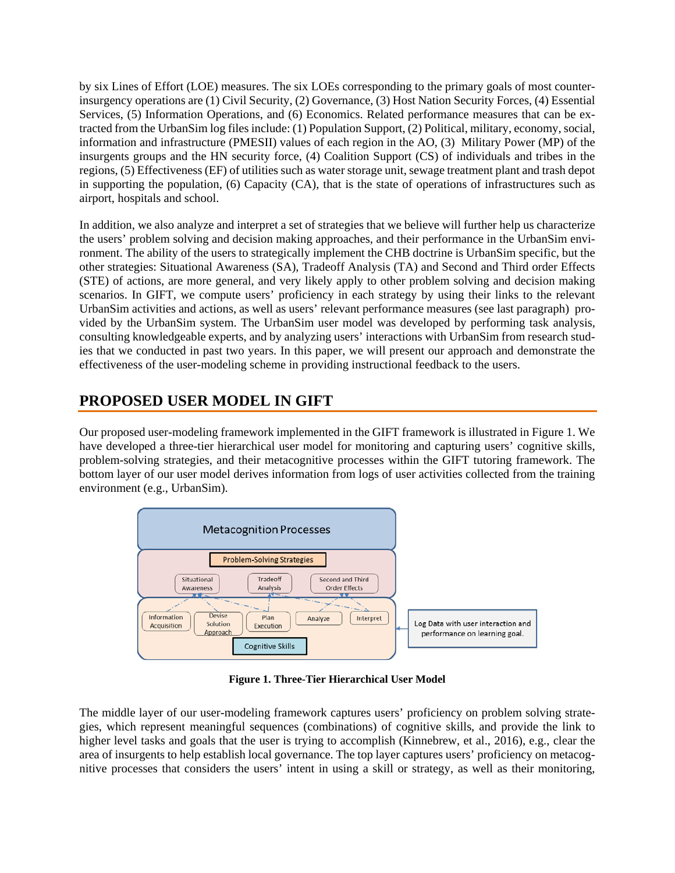by six Lines of Effort (LOE) measures. The six LOEs corresponding to the primary goals of most counterinsurgency operations are (1) Civil Security, (2) Governance, (3) Host Nation Security Forces, (4) Essential Services, (5) Information Operations, and (6) Economics. Related performance measures that can be extracted from the UrbanSim log files include: (1) Population Support, (2) Political, military, economy, social, information and infrastructure (PMESII) values of each region in the AO, (3) Military Power (MP) of the insurgents groups and the HN security force, (4) Coalition Support (CS) of individuals and tribes in the regions, (5) Effectiveness (EF) of utilities such as water storage unit, sewage treatment plant and trash depot in supporting the population,  $(6)$  Capacity  $(CA)$ , that is the state of operations of infrastructures such as airport, hospitals and school.

In addition, we also analyze and interpret a set of strategies that we believe will further help us characterize the users' problem solving and decision making approaches, and their performance in the UrbanSim environment. The ability of the users to strategically implement the CHB doctrine is UrbanSim specific, but the other strategies: Situational Awareness (SA), Tradeoff Analysis (TA) and Second and Third order Effects (STE) of actions, are more general, and very likely apply to other problem solving and decision making scenarios. In GIFT, we compute users' proficiency in each strategy by using their links to the relevant UrbanSim activities and actions, as well as users' relevant performance measures (see last paragraph) provided by the UrbanSim system. The UrbanSim user model was developed by performing task analysis, consulting knowledgeable experts, and by analyzing users' interactions with UrbanSim from research studies that we conducted in past two years. In this paper, we will present our approach and demonstrate the effectiveness of the user-modeling scheme in providing instructional feedback to the users.

# **PROPOSED USER MODEL IN GIFT**

Our proposed user-modeling framework implemented in the GIFT framework is illustrated in Figure 1. We have developed a three-tier hierarchical user model for monitoring and capturing users' cognitive skills, problem-solving strategies, and their metacognitive processes within the GIFT tutoring framework. The bottom layer of our user model derives information from logs of user activities collected from the training environment (e.g., UrbanSim).



**Figure 1. Three-Tier Hierarchical User Model**

The middle layer of our user-modeling framework captures users' proficiency on problem solving strategies, which represent meaningful sequences (combinations) of cognitive skills, and provide the link to higher level tasks and goals that the user is trying to accomplish (Kinnebrew, et al., 2016), e.g., clear the area of insurgents to help establish local governance. The top layer captures users' proficiency on metacognitive processes that considers the users' intent in using a skill or strategy, as well as their monitoring,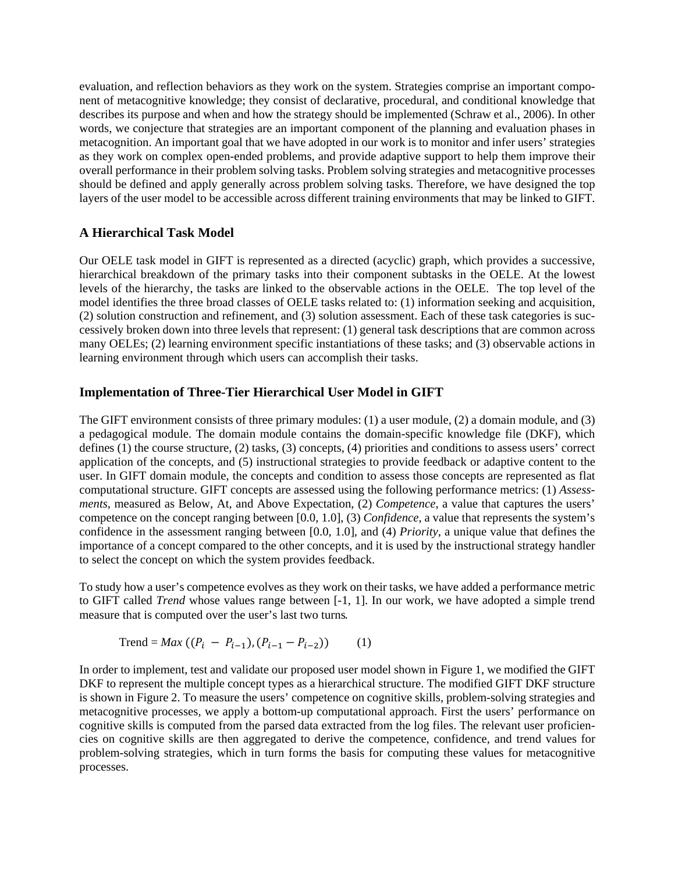evaluation, and reflection behaviors as they work on the system. Strategies comprise an important component of metacognitive knowledge; they consist of declarative, procedural, and conditional knowledge that describes its purpose and when and how the strategy should be implemented (Schraw et al., 2006). In other words, we conjecture that strategies are an important component of the planning and evaluation phases in metacognition. An important goal that we have adopted in our work is to monitor and infer users' strategies as they work on complex open-ended problems, and provide adaptive support to help them improve their overall performance in their problem solving tasks. Problem solving strategies and metacognitive processes should be defined and apply generally across problem solving tasks. Therefore, we have designed the top layers of the user model to be accessible across different training environments that may be linked to GIFT.

#### **A Hierarchical Task Model**

Our OELE task model in GIFT is represented as a directed (acyclic) graph, which provides a successive, hierarchical breakdown of the primary tasks into their component subtasks in the OELE. At the lowest levels of the hierarchy, the tasks are linked to the observable actions in the OELE. The top level of the model identifies the three broad classes of OELE tasks related to: (1) information seeking and acquisition, (2) solution construction and refinement, and (3) solution assessment. Each of these task categories is successively broken down into three levels that represent: (1) general task descriptions that are common across many OELEs; (2) learning environment specific instantiations of these tasks; and (3) observable actions in learning environment through which users can accomplish their tasks.

#### **Implementation of Three-Tier Hierarchical User Model in GIFT**

The GIFT environment consists of three primary modules: (1) a user module, (2) a domain module, and (3) a pedagogical module. The domain module contains the domain-specific knowledge file (DKF), which defines (1) the course structure, (2) tasks, (3) concepts, (4) priorities and conditions to assess users' correct application of the concepts, and (5) instructional strategies to provide feedback or adaptive content to the user. In GIFT domain module, the concepts and condition to assess those concepts are represented as flat computational structure. GIFT concepts are assessed using the following performance metrics: (1) *Assessments*, measured as Below, At, and Above Expectation, (2) *Competence*, a value that captures the users' competence on the concept ranging between [0.0, 1.0], (3) *Confidence*, a value that represents the system's confidence in the assessment ranging between [0.0, 1.0], and (4) *Priority*, a unique value that defines the importance of a concept compared to the other concepts, and it is used by the instructional strategy handler to select the concept on which the system provides feedback.

To study how a user's competence evolves as they work on their tasks, we have added a performance metric to GIFT called *Trend* whose values range between [-1, 1]. In our work, we have adopted a simple trend measure that is computed over the user's last two turns.

$$
Trend = Max ((Pi - Pi-1), (Pi-1 - Pi-2)) (1)
$$

In order to implement, test and validate our proposed user model shown in Figure 1, we modified the GIFT DKF to represent the multiple concept types as a hierarchical structure. The modified GIFT DKF structure is shown in Figure 2. To measure the users' competence on cognitive skills, problem-solving strategies and metacognitive processes, we apply a bottom-up computational approach. First the users' performance on cognitive skills is computed from the parsed data extracted from the log files. The relevant user proficiencies on cognitive skills are then aggregated to derive the competence, confidence, and trend values for problem-solving strategies, which in turn forms the basis for computing these values for metacognitive processes.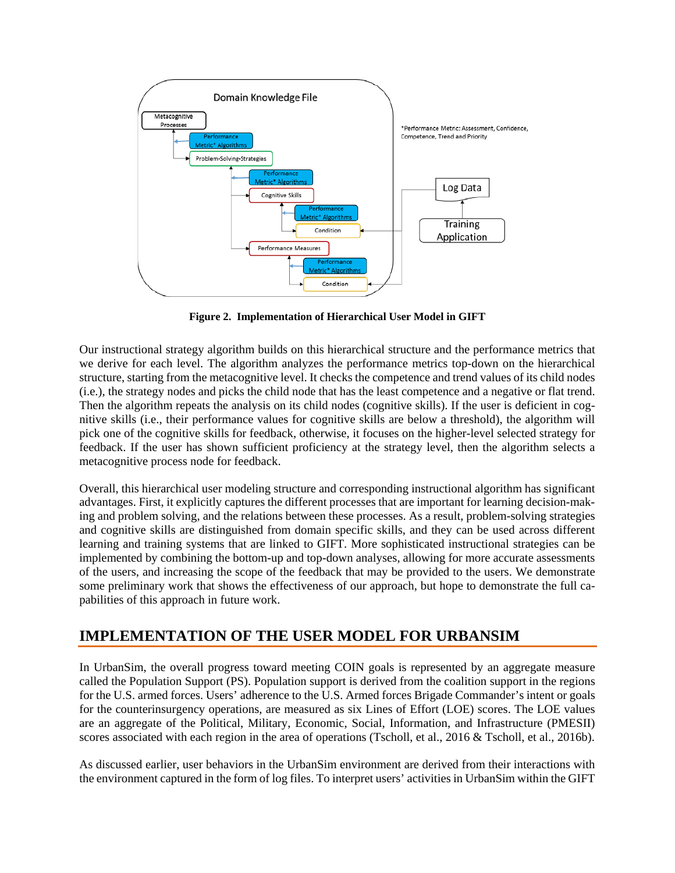

**Figure 2. Implementation of Hierarchical User Model in GIFT**

Our instructional strategy algorithm builds on this hierarchical structure and the performance metrics that we derive for each level. The algorithm analyzes the performance metrics top-down on the hierarchical structure, starting from the metacognitive level. It checks the competence and trend values of its child nodes (i.e.), the strategy nodes and picks the child node that has the least competence and a negative or flat trend. Then the algorithm repeats the analysis on its child nodes (cognitive skills). If the user is deficient in cognitive skills (i.e., their performance values for cognitive skills are below a threshold), the algorithm will pick one of the cognitive skills for feedback, otherwise, it focuses on the higher-level selected strategy for feedback. If the user has shown sufficient proficiency at the strategy level, then the algorithm selects a metacognitive process node for feedback.

Overall, this hierarchical user modeling structure and corresponding instructional algorithm has significant advantages. First, it explicitly captures the different processes that are important for learning decision-making and problem solving, and the relations between these processes. As a result, problem-solving strategies and cognitive skills are distinguished from domain specific skills, and they can be used across different learning and training systems that are linked to GIFT. More sophisticated instructional strategies can be implemented by combining the bottom-up and top-down analyses, allowing for more accurate assessments of the users, and increasing the scope of the feedback that may be provided to the users. We demonstrate some preliminary work that shows the effectiveness of our approach, but hope to demonstrate the full capabilities of this approach in future work.

# **IMPLEMENTATION OF THE USER MODEL FOR URBANSIM**

In UrbanSim, the overall progress toward meeting COIN goals is represented by an aggregate measure called the Population Support (PS). Population support is derived from the coalition support in the regions for the U.S. armed forces. Users' adherence to the U.S. Armed forces Brigade Commander's intent or goals for the counterinsurgency operations, are measured as six Lines of Effort (LOE) scores. The LOE values are an aggregate of the Political, Military, Economic, Social, Information, and Infrastructure (PMESII) scores associated with each region in the area of operations (Tscholl, et al., 2016 & Tscholl, et al., 2016b).

As discussed earlier, user behaviors in the UrbanSim environment are derived from their interactions with the environment captured in the form of log files. To interpret users' activities in UrbanSim within the GIFT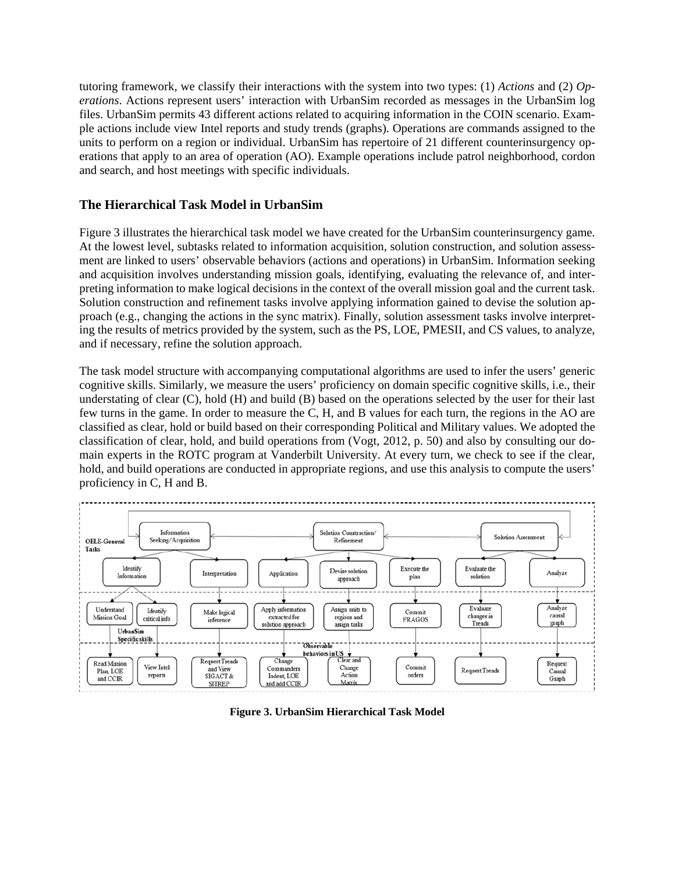tutoring framework, we classify their interactions with the system into two types: (1) *Actions* and (2) *Operations*. Actions represent users' interaction with UrbanSim recorded as messages in the UrbanSim log files. UrbanSim permits 43 different actions related to acquiring information in the COIN scenario. Example actions include view Intel reports and study trends (graphs). Operations are commands assigned to the units to perform on a region or individual. UrbanSim has repertoire of 21 different counterinsurgency operations that apply to an area of operation (AO). Example operations include patrol neighborhood, cordon and search, and host meetings with specific individuals.

#### **The Hierarchical Task Model in UrbanSim**

Figure 3 illustrates the hierarchical task model we have created for the UrbanSim counterinsurgency game. At the lowest level, subtasks related to information acquisition, solution construction, and solution assessment are linked to users' observable behaviors (actions and operations) in UrbanSim. Information seeking and acquisition involves understanding mission goals, identifying, evaluating the relevance of, and interpreting information to make logical decisions in the context of the overall mission goal and the current task. Solution construction and refinement tasks involve applying information gained to devise the solution approach (e.g., changing the actions in the sync matrix). Finally, solution assessment tasks involve interpreting the results of metrics provided by the system, such as the PS, LOE, PMESII, and CS values, to analyze, and if necessary, refine the solution approach.

The task model structure with accompanying computational algorithms are used to infer the users' generic cognitive skills. Similarly, we measure the users' proficiency on domain specific cognitive skills, i.e., their understating of clear (C), hold (H) and build (B) based on the operations selected by the user for their last few turns in the game. In order to measure the C, H, and B values for each turn, the regions in the AO are classified as clear, hold or build based on their corresponding Political and Military values. We adopted the classification of clear, hold, and build operations from (Vogt, 2012, p. 50) and also by consulting our domain experts in the ROTC program at Vanderbilt University. At every turn, we check to see if the clear, hold, and build operations are conducted in appropriate regions, and use this analysis to compute the users' proficiency in C, H and B.



**Figure 3. UrbanSim Hierarchical Task Model**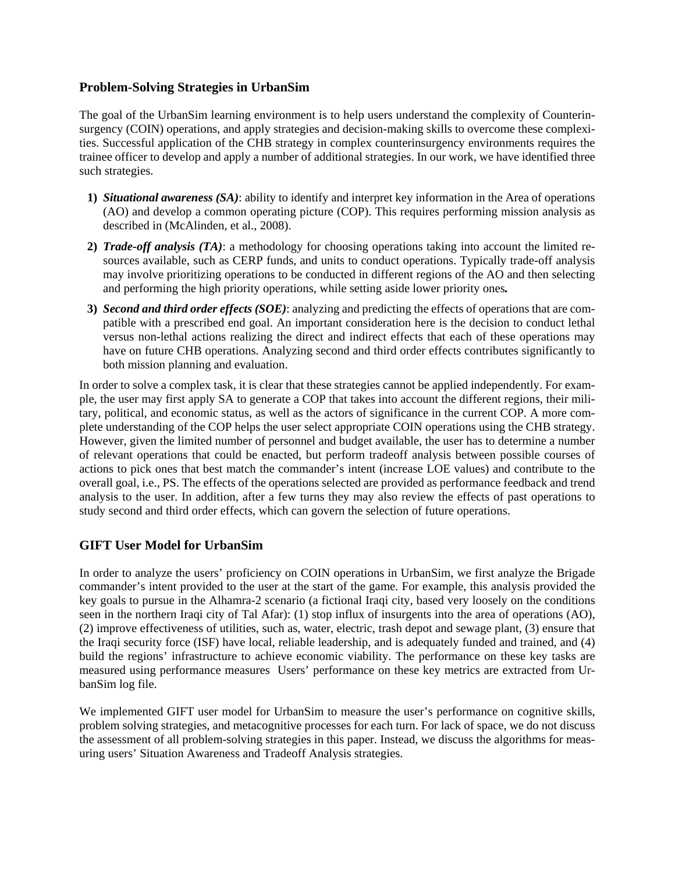#### **Problem-Solving Strategies in UrbanSim**

The goal of the UrbanSim learning environment is to help users understand the complexity of Counterinsurgency (COIN) operations, and apply strategies and decision-making skills to overcome these complexities. Successful application of the CHB strategy in complex counterinsurgency environments requires the trainee officer to develop and apply a number of additional strategies. In our work, we have identified three such strategies.

- **1)** *Situational awareness (SA)*: ability to identify and interpret key information in the Area of operations (AO) and develop a common operating picture (COP). This requires performing mission analysis as described in (McAlinden, et al., 2008).
- **2)** *Trade-off analysis (TA)*: a methodology for choosing operations taking into account the limited resources available, such as CERP funds, and units to conduct operations. Typically trade-off analysis may involve prioritizing operations to be conducted in different regions of the AO and then selecting and performing the high priority operations, while setting aside lower priority ones*.*
- **3)** *Second and third order effects (SOE)*: analyzing and predicting the effects of operations that are compatible with a prescribed end goal. An important consideration here is the decision to conduct lethal versus non-lethal actions realizing the direct and indirect effects that each of these operations may have on future CHB operations. Analyzing second and third order effects contributes significantly to both mission planning and evaluation.

In order to solve a complex task, it is clear that these strategies cannot be applied independently. For example, the user may first apply SA to generate a COP that takes into account the different regions, their military, political, and economic status, as well as the actors of significance in the current COP. A more complete understanding of the COP helps the user select appropriate COIN operations using the CHB strategy. However, given the limited number of personnel and budget available, the user has to determine a number of relevant operations that could be enacted, but perform tradeoff analysis between possible courses of actions to pick ones that best match the commander's intent (increase LOE values) and contribute to the overall goal, i.e., PS. The effects of the operations selected are provided as performance feedback and trend analysis to the user. In addition, after a few turns they may also review the effects of past operations to study second and third order effects, which can govern the selection of future operations.

#### **GIFT User Model for UrbanSim**

In order to analyze the users' proficiency on COIN operations in UrbanSim, we first analyze the Brigade commander's intent provided to the user at the start of the game. For example, this analysis provided the key goals to pursue in the Alhamra-2 scenario (a fictional Iraqi city, based very loosely on the conditions seen in the northern Iraqi city of Tal Afar): (1) stop influx of insurgents into the area of operations (AO), (2) improve effectiveness of utilities, such as, water, electric, trash depot and sewage plant, (3) ensure that the Iraqi security force (ISF) have local, reliable leadership, and is adequately funded and trained, and (4) build the regions' infrastructure to achieve economic viability. The performance on these key tasks are measured using performance measures Users' performance on these key metrics are extracted from UrbanSim log file.

We implemented GIFT user model for UrbanSim to measure the user's performance on cognitive skills, problem solving strategies, and metacognitive processes for each turn. For lack of space, we do not discuss the assessment of all problem-solving strategies in this paper. Instead, we discuss the algorithms for measuring users' Situation Awareness and Tradeoff Analysis strategies.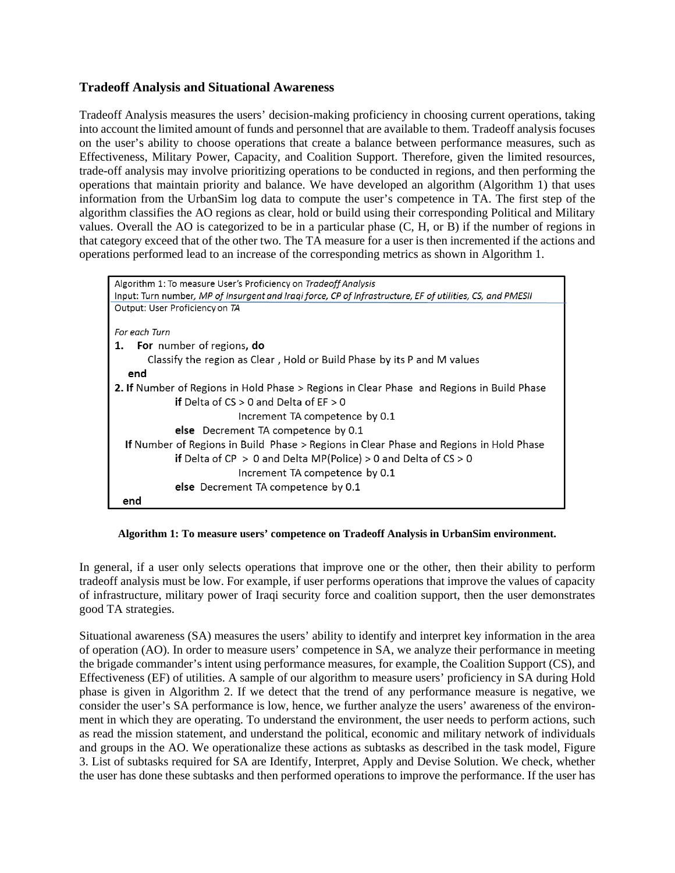#### **Tradeoff Analysis and Situational Awareness**

Tradeoff Analysis measures the users' decision-making proficiency in choosing current operations, taking into account the limited amount of funds and personnel that are available to them. Tradeoff analysis focuses on the user's ability to choose operations that create a balance between performance measures, such as Effectiveness, Military Power, Capacity, and Coalition Support. Therefore, given the limited resources, trade-off analysis may involve prioritizing operations to be conducted in regions, and then performing the operations that maintain priority and balance. We have developed an algorithm (Algorithm 1) that uses information from the UrbanSim log data to compute the user's competence in TA. The first step of the algorithm classifies the AO regions as clear, hold or build using their corresponding Political and Military values. Overall the AO is categorized to be in a particular phase (C, H, or B) if the number of regions in that category exceed that of the other two. The TA measure for a user is then incremented if the actions and operations performed lead to an increase of the corresponding metrics as shown in Algorithm 1.



**Algorithm 1: To measure users' competence on Tradeoff Analysis in UrbanSim environment.** 

In general, if a user only selects operations that improve one or the other, then their ability to perform tradeoff analysis must be low. For example, if user performs operations that improve the values of capacity of infrastructure, military power of Iraqi security force and coalition support, then the user demonstrates good TA strategies.

Situational awareness (SA) measures the users' ability to identify and interpret key information in the area of operation (AO). In order to measure users' competence in SA, we analyze their performance in meeting the brigade commander's intent using performance measures, for example, the Coalition Support (CS), and Effectiveness (EF) of utilities. A sample of our algorithm to measure users' proficiency in SA during Hold phase is given in Algorithm 2. If we detect that the trend of any performance measure is negative, we consider the user's SA performance is low, hence, we further analyze the users' awareness of the environment in which they are operating. To understand the environment, the user needs to perform actions, such as read the mission statement, and understand the political, economic and military network of individuals and groups in the AO. We operationalize these actions as subtasks as described in the task model, Figure 3. List of subtasks required for SA are Identify, Interpret, Apply and Devise Solution. We check, whether the user has done these subtasks and then performed operations to improve the performance. If the user has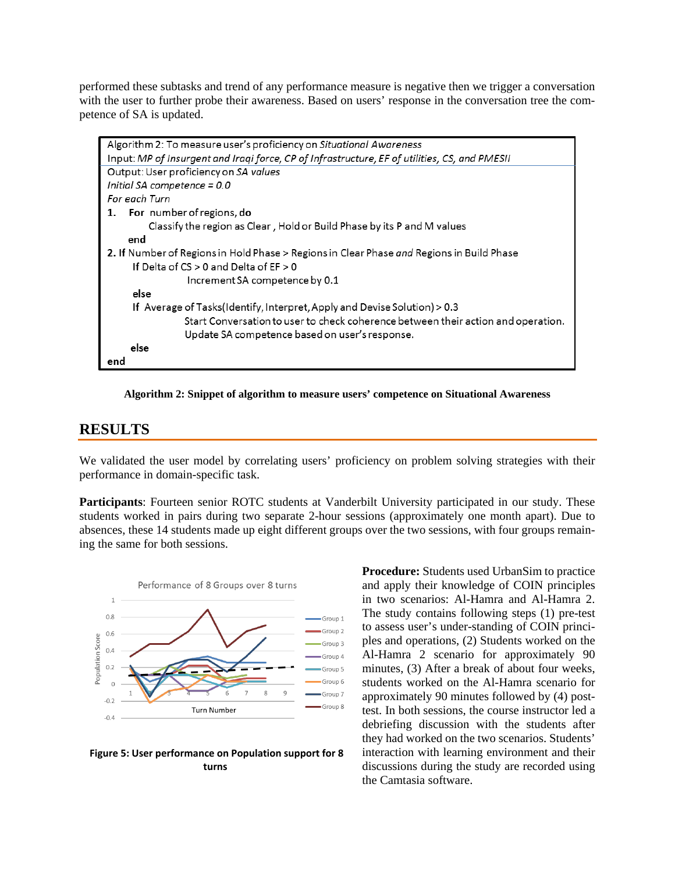performed these subtasks and trend of any performance measure is negative then we trigger a conversation with the user to further probe their awareness. Based on users' response in the conversation tree the competence of SA is updated.

| Algorithm 2: To measure user's proficiency on Situational Awareness                              |
|--------------------------------------------------------------------------------------------------|
| Input: MP of Insurgent and Iraqi force, CP of Infrastructure, EF of utilities, CS, and PMESII    |
| Output: User proficiency on SA values                                                            |
| Initial SA competence = 0.0                                                                      |
| For each Turn                                                                                    |
| 1. For number of regions, do                                                                     |
| Classify the region as Clear, Hold or Build Phase by its P and M values                          |
| end                                                                                              |
| 2. If Number of Regions in Hold Phase > Regions in Clear Phase <i>and</i> Regions in Build Phase |
| If Delta of $CS > 0$ and Delta of $EF > 0$                                                       |
| Increment SA competence by 0.1                                                                   |
| else                                                                                             |
| If Average of Tasks(Identify, Interpret, Apply and Devise Solution) > 0.3                        |
| Start Conversation to user to check coherence between their action and operation.                |
| Update SA competence based on user's response.                                                   |
| else                                                                                             |
| end                                                                                              |

**Algorithm 2: Snippet of algorithm to measure users' competence on Situational Awareness**

### **RESULTS**

We validated the user model by correlating users' proficiency on problem solving strategies with their performance in domain-specific task.

**Participants**: Fourteen senior ROTC students at Vanderbilt University participated in our study. These students worked in pairs during two separate 2-hour sessions (approximately one month apart). Due to absences, these 14 students made up eight different groups over the two sessions, with four groups remaining the same for both sessions.



**Figure 5: User performance on Population support for 8 turns**

**Procedure:** Students used UrbanSim to practice and apply their knowledge of COIN principles in two scenarios: Al-Hamra and Al-Hamra 2. The study contains following steps (1) pre-test to assess user's under-standing of COIN principles and operations, (2) Students worked on the Al-Hamra 2 scenario for approximately 90 minutes, (3) After a break of about four weeks, students worked on the Al-Hamra scenario for approximately 90 minutes followed by (4) posttest. In both sessions, the course instructor led a debriefing discussion with the students after they had worked on the two scenarios. Students' interaction with learning environment and their discussions during the study are recorded using the Camtasia software.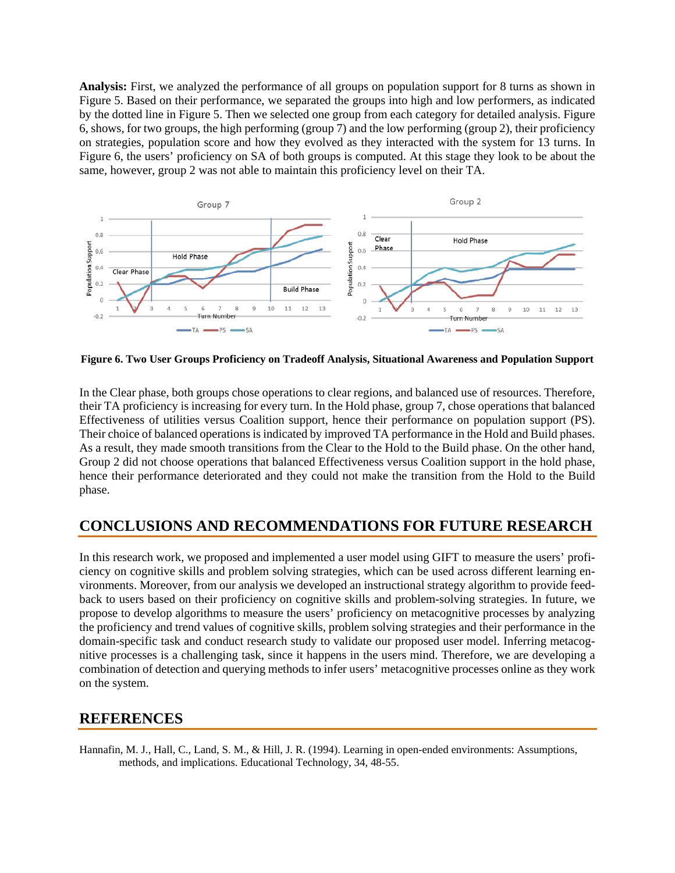**Analysis:** First, we analyzed the performance of all groups on population support for 8 turns as shown in Figure 5. Based on their performance, we separated the groups into high and low performers, as indicated by the dotted line in Figure 5. Then we selected one group from each category for detailed analysis. Figure 6, shows, for two groups, the high performing (group 7) and the low performing (group 2), their proficiency on strategies, population score and how they evolved as they interacted with the system for 13 turns. In Figure 6, the users' proficiency on SA of both groups is computed. At this stage they look to be about the same, however, group 2 was not able to maintain this proficiency level on their TA.



**Figure 6. Two User Groups Proficiency on Tradeoff Analysis, Situational Awareness and Population Support**

In the Clear phase, both groups chose operations to clear regions, and balanced use of resources. Therefore, their TA proficiency is increasing for every turn. In the Hold phase, group 7, chose operations that balanced Effectiveness of utilities versus Coalition support, hence their performance on population support (PS). Their choice of balanced operations is indicated by improved TA performance in the Hold and Build phases. As a result, they made smooth transitions from the Clear to the Hold to the Build phase. On the other hand, Group 2 did not choose operations that balanced Effectiveness versus Coalition support in the hold phase, hence their performance deteriorated and they could not make the transition from the Hold to the Build phase.

# **CONCLUSIONS AND RECOMMENDATIONS FOR FUTURE RESEARCH**

In this research work, we proposed and implemented a user model using GIFT to measure the users' proficiency on cognitive skills and problem solving strategies, which can be used across different learning environments. Moreover, from our analysis we developed an instructional strategy algorithm to provide feedback to users based on their proficiency on cognitive skills and problem-solving strategies. In future, we propose to develop algorithms to measure the users' proficiency on metacognitive processes by analyzing the proficiency and trend values of cognitive skills, problem solving strategies and their performance in the domain-specific task and conduct research study to validate our proposed user model. Inferring metacognitive processes is a challenging task, since it happens in the users mind. Therefore, we are developing a combination of detection and querying methods to infer users' metacognitive processes online as they work on the system.

## **REFERENCES**

Hannafin, M. J., Hall, C., Land, S. M., & Hill, J. R. (1994). Learning in open-ended environments: Assumptions, methods, and implications. Educational Technology, 34, 48-55.